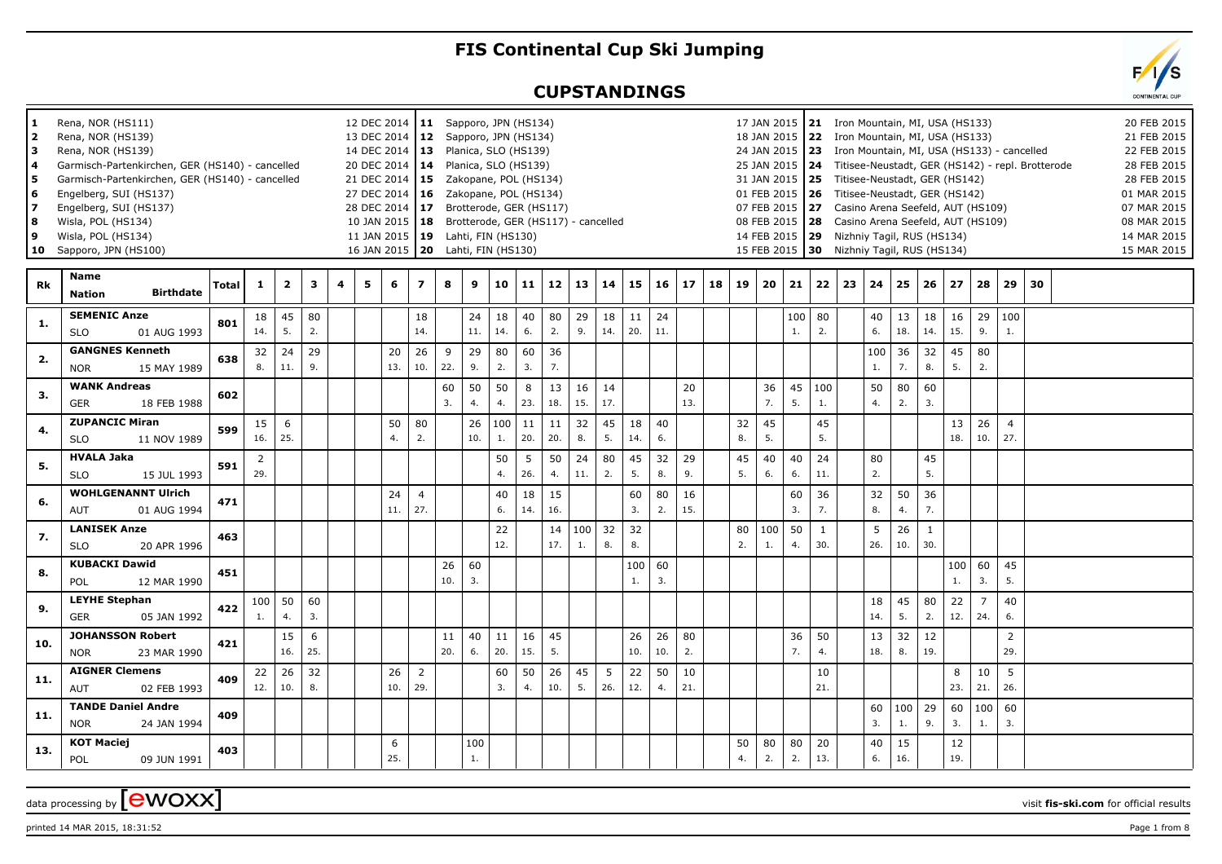## **FIS Continental Cup Ski Jumping**

## **CUPSTANDINGS**



| 1<br>2<br>l 3<br><b>4</b><br>5<br>6<br>17<br>8<br>و ا<br>  10 | Rena, NOR (HS111)<br>Rena, NOR (HS139)<br>Rena, NOR (HS139)<br>Garmisch-Partenkirchen, GER (HS140) - cancelled<br>Garmisch-Partenkirchen, GER (HS140) - cancelled<br>Engelberg, SUI (HS137)<br>Engelberg, SUI (HS137)<br>Wisla, POL (HS134)<br>Wisla, POL (HS134)<br>Sapporo, JPN (HS100) |       |              |                         |          |   |   | 12 DEC 2014   11 Sapporo, JPN (HS134)<br>13 DEC 2014 12<br>14 DEC 2014 13 Planica, SLO (HS139)<br>20 DEC 2014 14<br>21 DEC 2014   15<br>27 DEC 2014   16  Zakopane, POL (HS134)<br>28 DEC 2014 17 Brotterode, GER (HS117)<br>10 JAN 2015   18 Brotterode, GER (HS117) - cancelled<br>11 JAN 2015   19 Lahti, FIN (HS130)<br>16 JAN 2015   20 Lahti, FIN (HS130) |                       |           |           | Sapporo, JPN (HS134)<br>Planica, SLO (HS139)<br>Zakopane, POL (HS134) |           |           |              |           |           |                        |           |    |          | 17 JAN 2015   21 Iron Mountain, MI, USA (HS133)<br>18 JAN 2015<br>24 JAN 2015 23 Iron Mountain, MI, USA (HS133) - cancelled<br>25 JAN 2015<br>31 JAN 2015   25<br>01 FEB 2015<br>07 FEB 2015 27<br>08 FEB 2015   28 Casino Arena Seefeld, AUT (HS109)<br>14 FEB 2015<br>15 FEB 2015 30 Nizhniy Tagil, RUS (HS134) |           |                     | 22 Iron Mountain, MI, USA (HS133)<br>Titisee-Neustadt, GER (HS142)<br>26 Titisee-Neustadt, GER (HS142)<br>Casino Arena Seefeld, AUT (HS109)<br>29 Nizhniy Tagil, RUS (HS134) |           |                |                     |           |                       |                       | 24 Titisee-Neustadt, GER (HS142) - repl. Brotterode | 20 FEB 2015<br>21 FEB 2015<br>22 FEB 2015<br>28 FEB 2015<br>28 FEB 2015<br>01 MAR 2015<br>07 MAR 2015<br>08 MAR 2015<br>14 MAR 2015<br>15 MAR 2015 |  |
|---------------------------------------------------------------|-------------------------------------------------------------------------------------------------------------------------------------------------------------------------------------------------------------------------------------------------------------------------------------------|-------|--------------|-------------------------|----------|---|---|-----------------------------------------------------------------------------------------------------------------------------------------------------------------------------------------------------------------------------------------------------------------------------------------------------------------------------------------------------------------|-----------------------|-----------|-----------|-----------------------------------------------------------------------|-----------|-----------|--------------|-----------|-----------|------------------------|-----------|----|----------|-------------------------------------------------------------------------------------------------------------------------------------------------------------------------------------------------------------------------------------------------------------------------------------------------------------------|-----------|---------------------|------------------------------------------------------------------------------------------------------------------------------------------------------------------------------|-----------|----------------|---------------------|-----------|-----------------------|-----------------------|-----------------------------------------------------|----------------------------------------------------------------------------------------------------------------------------------------------------|--|
| Rk                                                            | <b>Name</b><br><b>Birthdate</b><br><b>Nation</b>                                                                                                                                                                                                                                          | Total | $\mathbf{1}$ | $\overline{\mathbf{2}}$ | 3        | 4 | 5 | 6                                                                                                                                                                                                                                                                                                                                                               | $\overline{ }$        | 8         | 9         | 10                                                                    | 11        | 12        | $13 \mid 14$ |           | 15        | 16                     | 17        | 18 | 19       | 20                                                                                                                                                                                                                                                                                                                | 21        | 22                  | 23                                                                                                                                                                           | 24        | 25             | 26                  | 27        | 28                    | 29                    | 30                                                  |                                                                                                                                                    |  |
| 1.                                                            | <b>SEMENIC Anze</b><br><b>SLO</b><br>01 AUG 1993                                                                                                                                                                                                                                          | 801   | 18<br>14.    | 45<br>5.                | 80<br>2. |   |   |                                                                                                                                                                                                                                                                                                                                                                 | 18<br>14.             |           | 24<br>11. | 18<br>14.                                                             | 40<br>6.  | 80<br>2.  | 29<br>9.     | 18<br>14. | 11<br>20. | 24<br>11.              |           |    |          |                                                                                                                                                                                                                                                                                                                   | 100<br>1. | 80<br>2.            |                                                                                                                                                                              | 40<br>6.  | 13<br>18.      | 18<br>14.           | 16<br>15. | 9.                    | 29 100<br>1.          |                                                     |                                                                                                                                                    |  |
| 2.                                                            | <b>GANGNES Kenneth</b><br><b>NOR</b><br>15 MAY 1989                                                                                                                                                                                                                                       | 638   | 32<br>8.     | 24<br>11.               | 29<br>9. |   |   | 20<br>13.                                                                                                                                                                                                                                                                                                                                                       | 26<br>10.             | 9<br>22.  | 29<br>9.  | 80<br>2.                                                              | 60<br>3.  | 36<br>7.  |              |           |           |                        |           |    |          |                                                                                                                                                                                                                                                                                                                   |           |                     |                                                                                                                                                                              | 100<br>1. | 36<br>7.       | 32<br>8.            | 45<br>5.  | 80<br>2.              |                       |                                                     |                                                                                                                                                    |  |
| 3.                                                            | <b>WANK Andreas</b><br>GER<br>18 FEB 1988                                                                                                                                                                                                                                                 | 602   |              |                         |          |   |   |                                                                                                                                                                                                                                                                                                                                                                 |                       | 60<br>3.  | 50<br>4.  | 50<br>4.                                                              | 8<br>23.  | 13<br>18. | 16<br>15.    | 14<br>17. |           |                        | 20<br>13. |    |          | 36<br>7.                                                                                                                                                                                                                                                                                                          | 45<br>5.  | 100<br>1.           |                                                                                                                                                                              | 50<br>4.  | 80<br>2.       | 60<br>3.            |           |                       |                       |                                                     |                                                                                                                                                    |  |
| 4.                                                            | <b>ZUPANCIC Miran</b><br><b>SLO</b><br>11 NOV 1989                                                                                                                                                                                                                                        | 599   | 15<br>16.    | 6<br>25.                |          |   |   | 50<br>4.                                                                                                                                                                                                                                                                                                                                                        | 80<br>2.              |           | 26<br>10. | 100<br>1.                                                             | 11<br>20. | 11<br>20. | 32<br>8.     | 45<br>5.  | 18<br>14. | 40<br>6.               |           |    | 32<br>8. | 45<br>5.                                                                                                                                                                                                                                                                                                          |           | 45<br>5.            |                                                                                                                                                                              |           |                |                     | 13<br>18. | 26<br>10.             | $\overline{4}$<br>27. |                                                     |                                                                                                                                                    |  |
| 5.                                                            | <b>HVALA Jaka</b><br><b>SLO</b><br>15 JUL 1993                                                                                                                                                                                                                                            | 591   | 2<br>29.     |                         |          |   |   |                                                                                                                                                                                                                                                                                                                                                                 |                       |           |           | 50<br>4.                                                              | 5<br>26.  | 50<br>4.  | 24<br>11.    | 80<br>2.  | 45<br>5.  | 32<br>8.               | 29<br>9.  |    | 45<br>5. | 40<br>6.                                                                                                                                                                                                                                                                                                          | 40<br>6.  | 24<br>11.           |                                                                                                                                                                              | 80<br>2.  |                | 45<br>5.            |           |                       |                       |                                                     |                                                                                                                                                    |  |
| 6.                                                            | <b>WOHLGENANNT Ulrich</b><br><b>AUT</b><br>01 AUG 1994                                                                                                                                                                                                                                    | 471   |              |                         |          |   |   | 24<br>11.                                                                                                                                                                                                                                                                                                                                                       | $\overline{4}$<br>27. |           |           | 40<br>6.                                                              | 18<br>14. | 15<br>16. |              |           | 60<br>3.  | 80<br>2.               | 16<br>15. |    |          |                                                                                                                                                                                                                                                                                                                   | 60<br>3.  | 36<br>7.            |                                                                                                                                                                              | 32<br>8.  | 50<br>4.       | 36<br>7.            |           |                       |                       |                                                     |                                                                                                                                                    |  |
| 7.                                                            | <b>LANISEK Anze</b><br><b>SLO</b><br>20 APR 1996                                                                                                                                                                                                                                          | 463   |              |                         |          |   |   |                                                                                                                                                                                                                                                                                                                                                                 |                       |           |           | 22<br>12.                                                             |           | 14<br>17. | 100<br>1.    | 32<br>8.  | 32<br>8.  |                        |           |    | 80<br>2. | 100<br>$\mathbf{1}$ .                                                                                                                                                                                                                                                                                             | 50<br>4.  | $\mathbf{1}$<br>30. |                                                                                                                                                                              | 5<br>26.  | 26<br>10.      | $\mathbf{1}$<br>30. |           |                       |                       |                                                     |                                                                                                                                                    |  |
| 8.                                                            | <b>KUBACKI Dawid</b><br>POL<br>12 MAR 1990                                                                                                                                                                                                                                                | 451   |              |                         |          |   |   |                                                                                                                                                                                                                                                                                                                                                                 |                       | 26<br>10. | 60<br>3.  |                                                                       |           |           |              |           | 100<br>1. | 60<br>$\overline{3}$ . |           |    |          |                                                                                                                                                                                                                                                                                                                   |           |                     |                                                                                                                                                                              |           |                |                     | 100<br>1. | 60<br>3.              | 45<br>5.              |                                                     |                                                                                                                                                    |  |
| 9.                                                            | <b>LEYHE Stephan</b><br>GER<br>05 JAN 1992                                                                                                                                                                                                                                                | 422   | 100 <br>1.   | 50<br>4.                | 60<br>3. |   |   |                                                                                                                                                                                                                                                                                                                                                                 |                       |           |           |                                                                       |           |           |              |           |           |                        |           |    |          |                                                                                                                                                                                                                                                                                                                   |           |                     |                                                                                                                                                                              | 18<br>14. | 45<br>5.       | 80<br>2.            | 22<br>12. | $\overline{7}$<br>24. | 40<br>6.              |                                                     |                                                                                                                                                    |  |
| 10.                                                           | <b>JOHANSSON Robert</b><br><b>NOR</b><br>23 MAR 1990                                                                                                                                                                                                                                      | 421   |              | 15<br>16.               | 6<br>25. |   |   |                                                                                                                                                                                                                                                                                                                                                                 |                       | 11<br>20. | 40<br>6.  | 11<br>20.                                                             | 16<br>15. | 45<br>5.  |              |           | 26<br>10. | 26<br>10.              | 80<br>2.  |    |          |                                                                                                                                                                                                                                                                                                                   | 36<br>7.  | 50<br>4.            |                                                                                                                                                                              | 13<br>18. | 32<br>8.       | 12<br>19.           |           |                       | $\overline{2}$<br>29. |                                                     |                                                                                                                                                    |  |
| 11.                                                           | <b>AIGNER Clemens</b><br>02 FEB 1993<br><b>AUT</b>                                                                                                                                                                                                                                        | 409   | 22 <br>12.   | 26<br>10.               | 32<br>8. |   |   | 26<br>10.                                                                                                                                                                                                                                                                                                                                                       | $\overline{2}$<br>29. |           |           | 60<br>3.                                                              | 50<br>4.  | 26<br>10. | 45<br>5.     | 5<br>26.  | 22<br>12. | 50<br>4.               | 10<br>21. |    |          |                                                                                                                                                                                                                                                                                                                   |           | 10<br>21.           |                                                                                                                                                                              |           |                |                     | 8<br>23.  | 10<br>21.             | 5<br>26.              |                                                     |                                                                                                                                                    |  |
| 11.                                                           | <b>TANDE Daniel Andre</b><br><b>NOR</b><br>24 JAN 1994                                                                                                                                                                                                                                    | 409   |              |                         |          |   |   |                                                                                                                                                                                                                                                                                                                                                                 |                       |           |           |                                                                       |           |           |              |           |           |                        |           |    |          |                                                                                                                                                                                                                                                                                                                   |           |                     |                                                                                                                                                                              | 60<br>3.  | $100$ 29<br>1. | 9.                  | 60<br>3.  | 100<br>1.             | 60<br>3.              |                                                     |                                                                                                                                                    |  |
| 13.                                                           | <b>KOT Maciej</b><br>POL<br>09 JUN 1991                                                                                                                                                                                                                                                   | 403   |              |                         |          |   |   | 6<br>25.                                                                                                                                                                                                                                                                                                                                                        |                       |           | 100<br>1. |                                                                       |           |           |              |           |           |                        |           |    | 50<br>4. | 80<br>2.                                                                                                                                                                                                                                                                                                          | 80<br>2.  | 20<br>13.           |                                                                                                                                                                              | 40<br>6.  | 15<br>16.      |                     | 12<br>19. |                       |                       |                                                     |                                                                                                                                                    |  |

printed 14 MAR 2015, 18:31:52 Page 1 from 8

data processing by **CWOXX** visit fis-ski.com for official results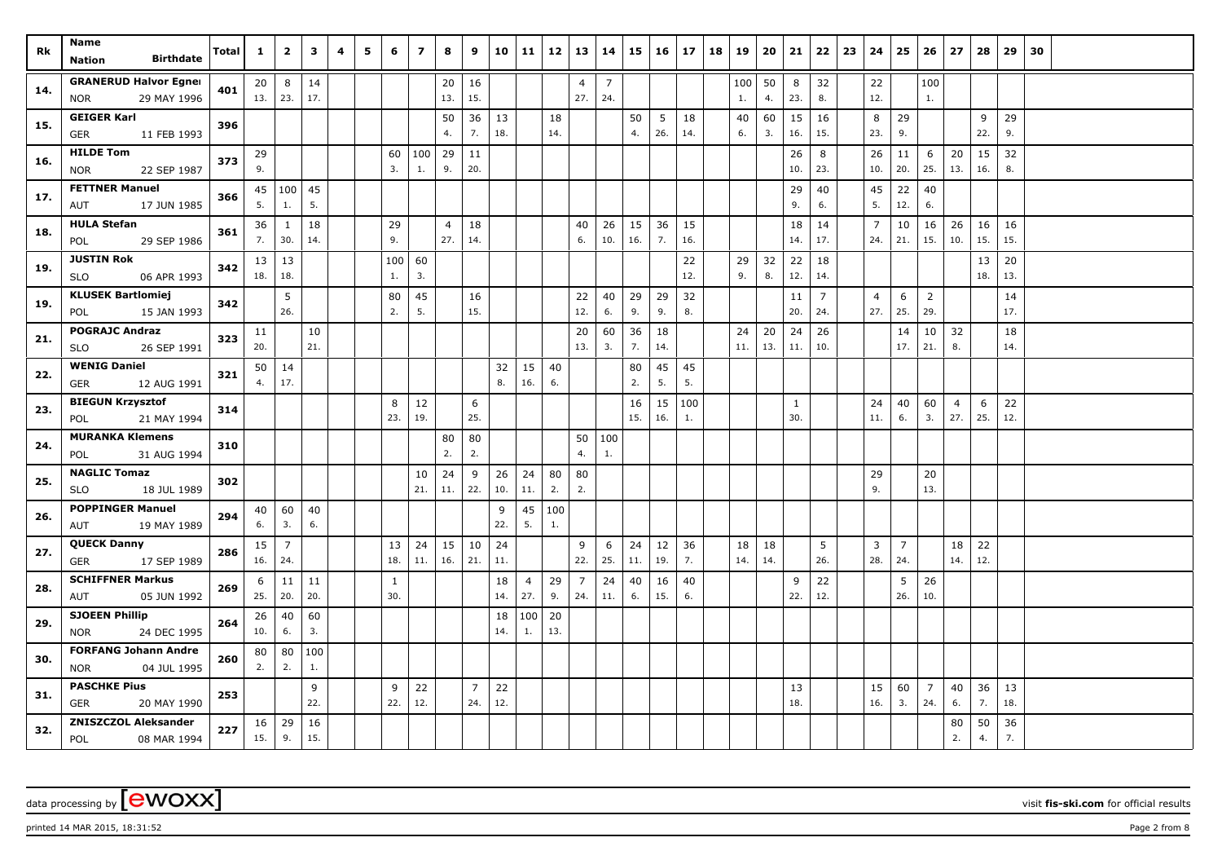| Rk  | Name<br><b>Birthdate</b><br><b>Nation</b>                 | <b>Total</b> | $\mathbf{1}$ | $\overline{\mathbf{2}}$ | 3         | 4 | 5 | 6            | $\overline{ }$ | 8              | 9              | 10 11     |     | 12        | 13                    | 14                    | 15        | 16        | 17        | 18 | 19        | 20       | 21                  | 22             | 23 | 24             | 25             | 26             | 27                    | 28       | 29        | 30 |
|-----|-----------------------------------------------------------|--------------|--------------|-------------------------|-----------|---|---|--------------|----------------|----------------|----------------|-----------|-----|-----------|-----------------------|-----------------------|-----------|-----------|-----------|----|-----------|----------|---------------------|----------------|----|----------------|----------------|----------------|-----------------------|----------|-----------|----|
|     |                                                           |              |              |                         |           |   |   |              |                |                |                |           |     |           |                       |                       |           |           |           |    |           |          |                     |                |    |                |                |                |                       |          |           |    |
| 14. | <b>GRANERUD Halvor Egner</b><br>29 MAY 1996<br><b>NOR</b> | 401          | 20<br>13.    | 8<br>23.                | 14<br>17. |   |   |              |                | 20<br>13.      | 16<br>15.      |           |     |           | $\overline{4}$<br>27. | $\overline{7}$<br>24. |           |           |           |    | 100<br>1. | 50<br>4. | 8<br>23.            | 32<br>8.       |    | 22<br>12.      |                | 100<br>1.      |                       |          |           |    |
|     | <b>GEIGER Karl</b>                                        |              |              |                         |           |   |   |              |                |                |                |           |     |           |                       |                       |           |           |           |    |           |          |                     |                |    |                |                |                |                       |          |           |    |
| 15. | 11 FEB 1993<br><b>GER</b>                                 | 396          |              |                         |           |   |   |              |                | 50<br>4.       | 36<br>7.       | 13<br>18. |     | 18<br>14. |                       |                       | 50<br>4.  | 5<br>26.  | 18<br>14. |    | 40<br>6.  | 60<br>3. | 15<br>16.           | 16<br>15.      |    | 8<br>23.       | 29<br>9.       |                |                       | 9<br>22. | 29<br>9.  |    |
|     | <b>HILDE Tom</b>                                          |              | 29           |                         |           |   |   | 60           | 100            | 29             | 11             |           |     |           |                       |                       |           |           |           |    |           |          | 26                  | 8              |    | 26             | 11             | 6              | 20                    | 15       | 32        |    |
| 16. | <b>NOR</b><br>22 SEP 1987                                 | 373          | 9.           |                         |           |   |   | 3.           | 1.             | 9.             | 20.            |           |     |           |                       |                       |           |           |           |    |           |          | 10.                 | 23.            |    | 10.            | 20.            | 25.            | 13.                   | 16.      | 8.        |    |
|     | <b>FETTNER Manuel</b>                                     |              |              | 45 100                  | 45        |   |   |              |                |                |                |           |     |           |                       |                       |           |           |           |    |           |          | 29                  | 40             |    | 45             | 22             | 40             |                       |          |           |    |
| 17. | 17 JUN 1985<br>AUT                                        | 366          | 5.           | 1.                      | 5.        |   |   |              |                |                |                |           |     |           |                       |                       |           |           |           |    |           |          | 9.                  | 6.             |    | 5.             | 12.            | 6.             |                       |          |           |    |
| 18. | <b>HULA Stefan</b>                                        | 361          | 36           | $\mathbf{1}$            | 18        |   |   | 29           |                | $\overline{4}$ | 18             |           |     |           | 40                    | 26                    | 15        | 36        | 15        |    |           |          | 18                  | 14             |    | $\overline{7}$ | 10             | 16             | 26                    | 16       | 16        |    |
|     | 29 SEP 1986<br>POL                                        |              | 7.           | 30.                     | 14.       |   |   | 9.           |                | 27.            | 14.            |           |     |           | 6.                    | 10.                   | 16.       | 7.        | 16.       |    |           |          | 14.                 | 17.            |    | 24.            | 21.            | 15.            | 10.                   | 15.      | 15.       |    |
| 19. | <b>JUSTIN Rok</b>                                         | 342          | 13           | 13                      |           |   |   | 100          | 60             |                |                |           |     |           |                       |                       |           |           | 22        |    | 29        | 32       | 22                  | 18             |    |                |                |                |                       | 13       | 20        |    |
|     | 06 APR 1993<br><b>SLO</b>                                 |              | 18.          | 18.                     |           |   |   | 1.           | 3.             |                |                |           |     |           |                       |                       |           |           | 12.       |    | 9.        | 8.       | 12.                 | 14.            |    |                |                |                |                       | 18.      | 13.       |    |
| 19. | <b>KLUSEK Bartlomiej</b>                                  | 342          |              | 5                       |           |   |   | 80           | 45             |                | 16             |           |     |           | 22                    | 40                    | 29        | 29        | 32        |    |           |          | 11                  | $\overline{7}$ |    | $\overline{4}$ | 6              | 2              |                       |          | 14        |    |
|     | POL<br>15 JAN 1993                                        |              |              | 26.                     |           |   |   | 2.           | 5.             |                | 15.            |           |     |           | 12.                   | 6.                    | 9.        | 9.        | 8.        |    |           |          | 20.                 | 24.            |    | 27.            | 25.            | 29.            |                       |          | 17.       |    |
| 21. | <b>POGRAJC Andraz</b>                                     | 323          | 11           |                         | 10        |   |   |              |                |                |                |           |     |           | 20                    | 60                    | 36        | 18        |           |    | 24        | 20       | 24                  | 26             |    |                | 14             | 10             | 32                    |          | 18        |    |
|     | 26 SEP 1991<br><b>SLO</b>                                 |              | 20.          |                         | 21.       |   |   |              |                |                |                |           |     |           | 13.                   | 3.                    | 7.        | 14.       |           |    | 11.       | 13.      | 11.                 | 10.            |    |                | 17.            | 21.            | 8.                    |          | 14.       |    |
| 22. | <b>WENIG Daniel</b>                                       | 321          | 50           | 14<br>17.               |           |   |   |              |                |                |                | 32<br>8.  | 15  | 40<br>6.  |                       |                       | 80        | 45<br>5.  | 45<br>5.  |    |           |          |                     |                |    |                |                |                |                       |          |           |    |
|     | 12 AUG 1991<br><b>GER</b>                                 |              | 4.           |                         |           |   |   |              |                |                |                |           | 16. |           |                       |                       | 2.        |           |           |    |           |          |                     |                |    |                |                |                |                       |          |           |    |
| 23. | <b>BIEGUN Krzysztof</b><br>21 MAY 1994<br>POL             | 314          |              |                         |           |   |   | 8<br>23.     | 12<br>19.      |                | 6<br>25.       |           |     |           |                       |                       | 16<br>15. | 15<br>16. | 100<br>1. |    |           |          | $\mathbf{1}$<br>30. |                |    | 24<br>11.      | 40<br>6.       | 60<br>3.       | $\overline{4}$<br>27. | 6<br>25. | 22<br>12. |    |
|     | <b>MURANKA Klemens</b>                                    |              |              |                         |           |   |   |              |                | 80             | 80             |           |     |           | 50                    | 100                   |           |           |           |    |           |          |                     |                |    |                |                |                |                       |          |           |    |
| 24. | 31 AUG 1994<br>POL                                        | 310          |              |                         |           |   |   |              |                | 2.             | 2.             |           |     |           | 4.                    | 1.                    |           |           |           |    |           |          |                     |                |    |                |                |                |                       |          |           |    |
|     | <b>NAGLIC Tomaz</b>                                       |              |              |                         |           |   |   |              | 10             | 24             | 9              | 26        | 24  | 80        | 80                    |                       |           |           |           |    |           |          |                     |                |    | 29             |                | 20             |                       |          |           |    |
| 25. | <b>SLO</b><br>18 JUL 1989                                 | 302          |              |                         |           |   |   |              | 21.            | 11.            | 22.            | 10.       | 11. | 2.        | 2.                    |                       |           |           |           |    |           |          |                     |                |    | 9.             |                | 13.            |                       |          |           |    |
|     | <b>POPPINGER Manuel</b>                                   |              | 40           | 60                      | 40        |   |   |              |                |                |                | 9         | 45  | 100       |                       |                       |           |           |           |    |           |          |                     |                |    |                |                |                |                       |          |           |    |
| 26. | 19 MAY 1989<br>AUT                                        | 294          | 6.           | 3.                      | 6.        |   |   |              |                |                |                | 22.       | 5.  | 1.        |                       |                       |           |           |           |    |           |          |                     |                |    |                |                |                |                       |          |           |    |
| 27. | <b>QUECK Danny</b>                                        | 286          | 15           | $\overline{7}$          |           |   |   | 13           | 24             | 15             | 10             | 24        |     |           | 9                     | 6                     | 24        | 12        | 36        |    | 18        | 18       |                     | 5              |    | 3              | $\overline{7}$ |                | 18                    | 22       |           |    |
|     | 17 SEP 1989<br><b>GER</b>                                 |              | 16.          | 24.                     |           |   |   | 18.          | 11.            | 16.            | 21.            | 11.       |     |           | 22.                   | 25.                   | 11.       | 19.       | 7.        |    | 14.       | 14.      |                     | 26.            |    | 28.            | 24.            |                | 14.                   | 12.      |           |    |
| 28. | <b>SCHIFFNER Markus</b>                                   | 269          | 6            | 11                      | 11        |   |   | $\mathbf{1}$ |                |                |                | 18        | 4   | 29        | 7                     | 24                    | 40        | 16        | 40        |    |           |          | 9                   | 22             |    |                | 5              | 26             |                       |          |           |    |
|     | 05 JUN 1992<br>AUT                                        |              | 25.          | 20.                     | 20.       |   |   | 30.          |                |                |                | 14.       | 27. | 9.        | 24.                   | 11.                   | 6.        | 15.       | 6.        |    |           |          | 22.                 | 12.            |    |                | 26.            | 10.            |                       |          |           |    |
| 29. | <b>SJOEEN Phillip</b>                                     | 264          | 26           | 40                      | 60        |   |   |              |                |                |                | 18        | 100 | 20        |                       |                       |           |           |           |    |           |          |                     |                |    |                |                |                |                       |          |           |    |
|     | 24 DEC 1995<br><b>NOR</b>                                 |              | 10.          | 6.                      | 3.        |   |   |              |                |                |                | 14.       | 1.  | 13.       |                       |                       |           |           |           |    |           |          |                     |                |    |                |                |                |                       |          |           |    |
| 30. | <b>FORFANG Johann Andre</b>                               | 260          | 80           | 80                      | 100       |   |   |              |                |                |                |           |     |           |                       |                       |           |           |           |    |           |          |                     |                |    |                |                |                |                       |          |           |    |
|     | <b>NOR</b><br>04 JUL 1995                                 |              | 2.           | 2.                      | 1.        |   |   |              |                |                |                |           |     |           |                       |                       |           |           |           |    |           |          |                     |                |    |                |                |                |                       |          |           |    |
| 31. | <b>PASCHKE Pius</b>                                       | 253          |              |                         | 9         |   |   | 9            | 22             |                | $\overline{7}$ | 22        |     |           |                       |                       |           |           |           |    |           |          | 13                  |                |    | 15             | 60             | $\overline{7}$ | 40                    | 36       | 13        |    |
|     | GER<br>20 MAY 1990                                        |              |              |                         | 22.       |   |   | 22.          | 12.            |                | 24.            | 12.       |     |           |                       |                       |           |           |           |    |           |          | 18.                 |                |    | 16.            | 3.             | 24.            | 6.                    | 7.       | 18.       |    |
| 32. | <b>ZNISZCZOL Aleksander</b><br>POL<br>08 MAR 1994         | 227          | 16<br>15.    | 29<br>9.                | 16<br>15. |   |   |              |                |                |                |           |     |           |                       |                       |           |           |           |    |           |          |                     |                |    |                |                |                | 80<br>2.              | 50<br>4. | 36<br>7.  |    |

printed 14 MAR 2015, 18:31:52 Page 2 from 8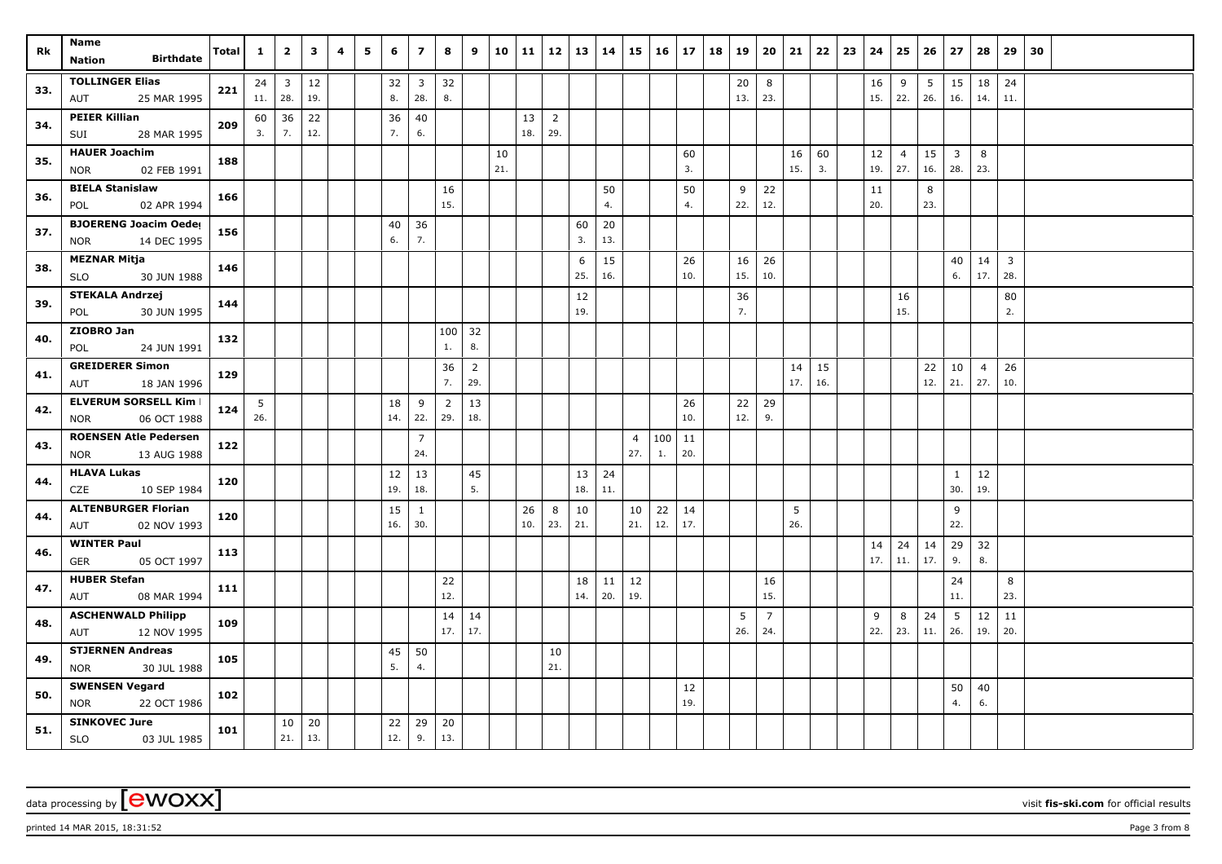| Rk  | Name<br><b>Birthdate</b><br><b>Nation</b>            | Total | $\mathbf{1}$ | $\overline{2}$      | $\mathbf{3}$  | 4 | 5 | 6         | $\overline{z}$         | 8              | 9                     | 10  | 11  | 12                    | 13  | 14     | 15             | 16  | 17          | 18 | 19        | 20             | 21        | 22        | 23 | 24        | 25             | 26        | 27                      | 28                    | 29             | 30 |
|-----|------------------------------------------------------|-------|--------------|---------------------|---------------|---|---|-----------|------------------------|----------------|-----------------------|-----|-----|-----------------------|-----|--------|----------------|-----|-------------|----|-----------|----------------|-----------|-----------|----|-----------|----------------|-----------|-------------------------|-----------------------|----------------|----|
|     |                                                      |       |              |                     |               |   |   |           |                        |                |                       |     |     |                       |     |        |                |     |             |    |           |                |           |           |    |           |                |           |                         |                       |                |    |
| 33. | <b>TOLLINGER Elias</b><br>25 MAR 1995<br>AUT         | 221   | 24<br>11.    | $\mathbf{3}$<br>28. | $12\,$<br>19. |   |   | 32<br>8.  | $\mathbf{3}$<br>28.    | 32<br>8.       |                       |     |     |                       |     |        |                |     |             |    | 20<br>13. | 8<br>23.       |           |           |    | 16<br>15. | 9<br>22.       | 5<br>26.  | 15<br>16.               | 18<br>14.             | 24<br>11.      |    |
|     | <b>PEIER Killian</b>                                 |       |              |                     | 22            |   |   |           | 40                     |                |                       |     | 13  |                       |     |        |                |     |             |    |           |                |           |           |    |           |                |           |                         |                       |                |    |
| 34. | 28 MAR 1995<br>SUI                                   | 209   | 60<br>3.     | 36<br>7.            | 12.           |   |   | 36<br>7.  | 6.                     |                |                       |     | 18. | $\overline{2}$<br>29. |     |        |                |     |             |    |           |                |           |           |    |           |                |           |                         |                       |                |    |
|     | <b>HAUER Joachim</b>                                 |       |              |                     |               |   |   |           |                        |                |                       | 10  |     |                       |     |        |                |     | 60          |    |           |                | 16        | 60        |    | 12        | $\overline{4}$ | 15        | $\overline{\mathbf{3}}$ | 8                     |                |    |
| 35. | 02 FEB 1991<br><b>NOR</b>                            | 188   |              |                     |               |   |   |           |                        |                |                       | 21. |     |                       |     |        |                |     | 3.          |    |           |                | 15.       | 3.        |    | 19.       | 27.            | 16.       | 28.                     | 23.                   |                |    |
| 36. | <b>BIELA Stanislaw</b>                               | 166   |              |                     |               |   |   |           |                        | 16             |                       |     |     |                       |     | 50     |                |     | 50          |    | 9         | 22             |           |           |    | 11        |                | 8         |                         |                       |                |    |
|     | 02 APR 1994<br>POL                                   |       |              |                     |               |   |   |           |                        | 15.            |                       |     |     |                       |     | 4.     |                |     | 4.          |    | 22.       | 12.            |           |           |    | 20.       |                | 23.       |                         |                       |                |    |
| 37. | <b>BJOERENG Joacim Oeder</b>                         | 156   |              |                     |               |   |   | 40        | 36                     |                |                       |     |     |                       | 60  | $20\,$ |                |     |             |    |           |                |           |           |    |           |                |           |                         |                       |                |    |
|     | 14 DEC 1995<br><b>NOR</b>                            |       |              |                     |               |   |   | 6.        | 7.                     |                |                       |     |     |                       | 3.  | 13.    |                |     |             |    |           |                |           |           |    |           |                |           |                         |                       |                |    |
| 38. | <b>MEZNAR Mitja</b>                                  | 146   |              |                     |               |   |   |           |                        |                |                       |     |     |                       | 6   | 15     |                |     | 26          |    | 16        | 26             |           |           |    |           |                |           | 40                      | 14                    | $\overline{3}$ |    |
|     | 30 JUN 1988<br><b>SLO</b>                            |       |              |                     |               |   |   |           |                        |                |                       |     |     |                       | 25. | 16.    |                |     | 10.         |    | 15.       | 10.            |           |           |    |           |                |           | 6.                      | 17.                   | 28.            |    |
| 39. | <b>STEKALA Andrzej</b>                               | 144   |              |                     |               |   |   |           |                        |                |                       |     |     |                       | 12  |        |                |     |             |    | 36        |                |           |           |    |           | 16             |           |                         |                       | 80             |    |
|     | 30 JUN 1995<br>POL                                   |       |              |                     |               |   |   |           |                        |                |                       |     |     |                       | 19. |        |                |     |             |    | 7.        |                |           |           |    |           | 15.            |           |                         |                       | 2.             |    |
| 40. | ZIOBRO Jan                                           | 132   |              |                     |               |   |   |           |                        | 100            | 32                    |     |     |                       |     |        |                |     |             |    |           |                |           |           |    |           |                |           |                         |                       |                |    |
|     | POL<br>24 JUN 1991                                   |       |              |                     |               |   |   |           |                        | 1.             | 8.                    |     |     |                       |     |        |                |     |             |    |           |                |           |           |    |           |                |           |                         |                       |                |    |
| 41. | <b>GREIDERER Simon</b><br>18 JAN 1996<br>AUT         | 129   |              |                     |               |   |   |           |                        | 36<br>7.       | $\overline{2}$<br>29. |     |     |                       |     |        |                |     |             |    |           |                | 14<br>17. | 15<br>16. |    |           |                | 22<br>12. | 10<br>21.               | $\overline{4}$<br>27. | 26<br>10.      |    |
|     | <b>ELVERUM SORSELL Kim I</b>                         |       | 5            |                     |               |   |   |           | 9                      | $\overline{2}$ | 13                    |     |     |                       |     |        |                |     | 26          |    | 22        | 29             |           |           |    |           |                |           |                         |                       |                |    |
| 42. | 06 OCT 1988<br><b>NOR</b>                            | 124   | 26.          |                     |               |   |   | 18<br>14. | 22.                    | 29.            | 18.                   |     |     |                       |     |        |                |     | 10.         |    | 12.       | 9.             |           |           |    |           |                |           |                         |                       |                |    |
|     | <b>ROENSEN Atle Pedersen</b>                         |       |              |                     |               |   |   |           | $\overline{7}$         |                |                       |     |     |                       |     |        | $\overline{4}$ | 100 | 11          |    |           |                |           |           |    |           |                |           |                         |                       |                |    |
| 43. | 13 AUG 1988<br><b>NOR</b>                            | 122   |              |                     |               |   |   |           | 24.                    |                |                       |     |     |                       |     |        | 27.            | 1.  | 20.         |    |           |                |           |           |    |           |                |           |                         |                       |                |    |
|     | <b>HLAVA Lukas</b>                                   |       |              |                     |               |   |   | 12        | 13                     |                | 45                    |     |     |                       | 13  | 24     |                |     |             |    |           |                |           |           |    |           |                |           | $\mathbf{1}$            | 12                    |                |    |
| 44. | 10 SEP 1984<br>CZE                                   | 120   |              |                     |               |   |   | 19.       | 18.                    |                | 5.                    |     |     |                       | 18. | 11.    |                |     |             |    |           |                |           |           |    |           |                |           | 30.                     | 19.                   |                |    |
|     | <b>ALTENBURGER Florian</b>                           |       |              |                     |               |   |   | 15        | $\mathbf{1}$           |                |                       |     | 26  | 8                     | 10  |        | 10             | 22  | 14          |    |           |                | 5         |           |    |           |                |           | 9                       |                       |                |    |
| 44. | 02 NOV 1993<br>AUT                                   | 120   |              |                     |               |   |   | 16.       | 30.                    |                |                       |     | 10. | 23.                   | 21. |        | 21.            | 12. | 17.         |    |           |                | 26.       |           |    |           |                |           | 22.                     |                       |                |    |
| 46. | <b>WINTER Paul</b>                                   | 113   |              |                     |               |   |   |           |                        |                |                       |     |     |                       |     |        |                |     |             |    |           |                |           |           |    | 14        | 24             | 14        | 29                      | 32                    |                |    |
|     | <b>GER</b><br>05 OCT 1997                            |       |              |                     |               |   |   |           |                        |                |                       |     |     |                       |     |        |                |     |             |    |           |                |           |           |    | 17.       | 11.            | 17.       | 9.                      | 8.                    |                |    |
| 47. | <b>HUBER Stefan</b>                                  | 111   |              |                     |               |   |   |           |                        | 22             |                       |     |     |                       | 18  | 11     | 12             |     |             |    |           | 16             |           |           |    |           |                |           | 24                      |                       | 8              |    |
|     | 08 MAR 1994<br>AUT                                   |       |              |                     |               |   |   |           |                        | 12.            |                       |     |     |                       | 14. | 20.    | 19.            |     |             |    |           | 15.            |           |           |    |           |                |           | 11.                     |                       | 23.            |    |
| 48. | <b>ASCHENWALD Philipp</b>                            | 109   |              |                     |               |   |   |           |                        | 14<br>17.      | 14                    |     |     |                       |     |        |                |     |             |    | 5         | $\overline{7}$ |           |           |    | 9         | 8              | 24<br>11. | 5                       | 12                    | 11<br>20.      |    |
|     | 12 NOV 1995<br>AUT                                   |       |              |                     |               |   |   |           |                        |                | 17.                   |     |     |                       |     |        |                |     |             |    | 26.       | 24.            |           |           |    | 22.       | 23.            |           | 26.                     | 19.                   |                |    |
| 49. | <b>STJERNEN Andreas</b><br>30 JUL 1988<br><b>NOR</b> | 105   |              |                     |               |   |   | 45<br>5.  | 50<br>$\overline{4}$ . |                |                       |     |     | 10<br>21.             |     |        |                |     |             |    |           |                |           |           |    |           |                |           |                         |                       |                |    |
|     | <b>SWENSEN Vegard</b>                                |       |              |                     |               |   |   |           |                        |                |                       |     |     |                       |     |        |                |     |             |    |           |                |           |           |    |           |                |           |                         |                       |                |    |
| 50. | 22 OCT 1986<br><b>NOR</b>                            | 102   |              |                     |               |   |   |           |                        |                |                       |     |     |                       |     |        |                |     | $12$<br>19. |    |           |                |           |           |    |           |                |           | 50<br>4.                | $40\,$<br>6.          |                |    |
|     | <b>SINKOVEC Jure</b>                                 |       |              | 10                  | 20            |   |   | 22        | 29                     | 20             |                       |     |     |                       |     |        |                |     |             |    |           |                |           |           |    |           |                |           |                         |                       |                |    |
| 51. | <b>SLO</b><br>03 JUL 1985                            | 101   |              | 21.                 | 13.           |   |   | 12.       | 9.                     | 13.            |                       |     |     |                       |     |        |                |     |             |    |           |                |           |           |    |           |                |           |                         |                       |                |    |

printed 14 MAR 2015, 18:31:52 Page 3 from 8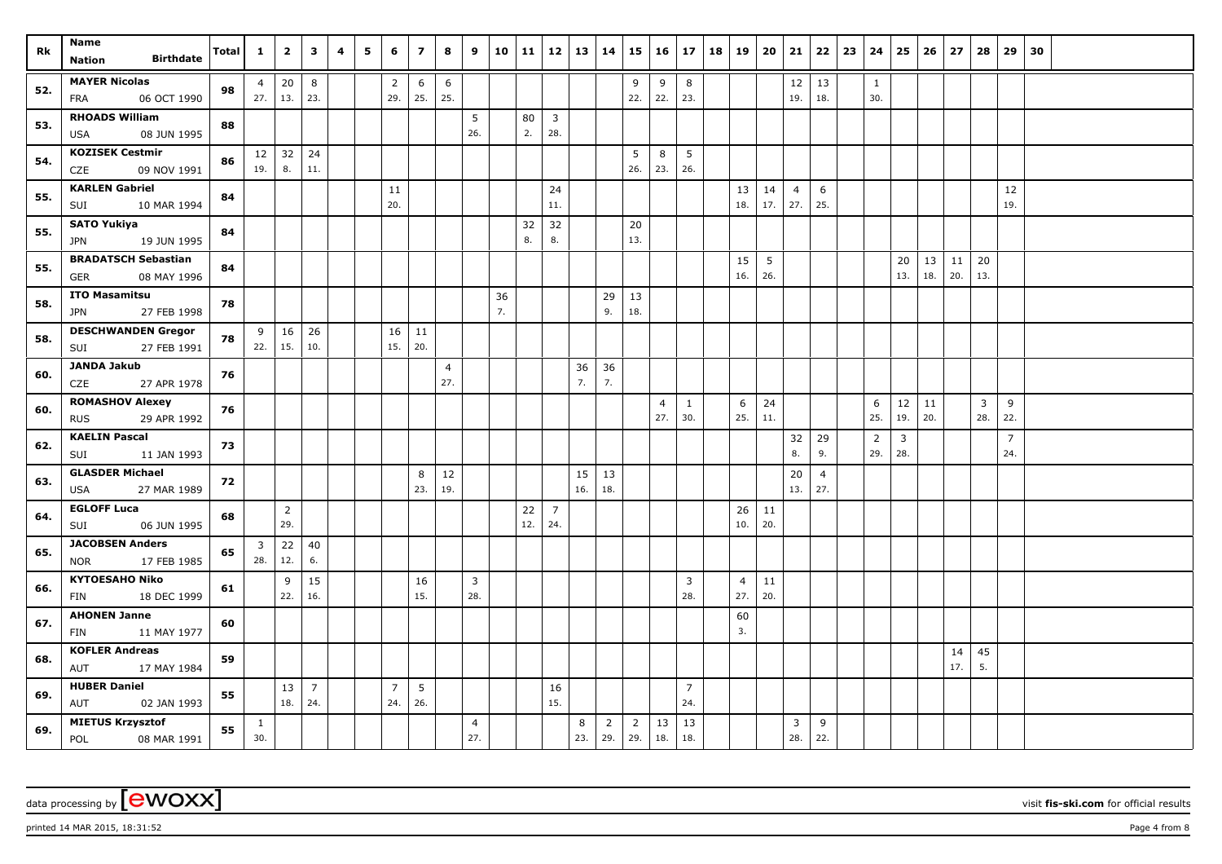| Rk  | Name<br><b>Birthdate</b><br>Nation                  | Total | $\mathbf{1}$          | $\overline{2}$  | $\mathbf{3}$   | 4 | 5 | 6                     | $\overline{z}$         | 8              | 9              | 10       | $11 \mid 12$ |                         | 13  | 14             |                | $15 \mid 16$   | 17             | 18 19 |                | 20              | 21             | 22             | 23 | 24                  | 25                      | 26   | 27         | 28             | 29             | 30 |  |
|-----|-----------------------------------------------------|-------|-----------------------|-----------------|----------------|---|---|-----------------------|------------------------|----------------|----------------|----------|--------------|-------------------------|-----|----------------|----------------|----------------|----------------|-------|----------------|-----------------|----------------|----------------|----|---------------------|-------------------------|------|------------|----------------|----------------|----|--|
|     |                                                     |       |                       |                 |                |   |   |                       |                        |                |                |          |              |                         |     |                |                |                |                |       |                |                 |                |                |    |                     |                         |      |            |                |                |    |  |
| 52. | <b>MAYER Nicolas</b><br>06 OCT 1990<br>FRA          | 98    | $\overline{4}$        | 20<br>$27.$ 13. | 8<br>23.       |   |   | $\overline{2}$<br>29. | $6\phantom{.}6$<br>25. | 6<br>25.       |                |          |              |                         |     |                | 9<br>22.       | 9<br>22.       | 8<br>23.       |       |                |                 | 12<br>19.      | 13<br>18.      |    | $\mathbf{1}$<br>30. |                         |      |            |                |                |    |  |
|     | <b>RHOADS William</b>                               |       |                       |                 |                |   |   |                       |                        |                | 5              |          | 80           | $\overline{\mathbf{3}}$ |     |                |                |                |                |       |                |                 |                |                |    |                     |                         |      |            |                |                |    |  |
| 53. | 08 JUN 1995<br>USA                                  | 88    |                       |                 |                |   |   |                       |                        |                | 26.            |          | 2.           | 28.                     |     |                |                |                |                |       |                |                 |                |                |    |                     |                         |      |            |                |                |    |  |
|     | <b>KOZISEK Cestmir</b>                              |       |                       | $12 \mid 32$    | 24             |   |   |                       |                        |                |                |          |              |                         |     |                | 5              | 8              | 5              |       |                |                 |                |                |    |                     |                         |      |            |                |                |    |  |
| 54. | CZE<br>09 NOV 1991                                  | 86    | 19.                   | 8.              | 11.            |   |   |                       |                        |                |                |          |              |                         |     |                | 26.            | 23.            | 26.            |       |                |                 |                |                |    |                     |                         |      |            |                |                |    |  |
| 55. | <b>KARLEN Gabriel</b>                               | 84    |                       |                 |                |   |   | 11                    |                        |                |                |          |              | 24                      |     |                |                |                |                |       | 13             | 14              | $\overline{4}$ | 6              |    |                     |                         |      |            |                | 12             |    |  |
|     | 10 MAR 1994<br>SUI                                  |       |                       |                 |                |   |   | 20.                   |                        |                |                |          |              | 11.                     |     |                |                |                |                |       | 18.            | 17.             | 27.            | 25.            |    |                     |                         |      |            |                | 19.            |    |  |
| 55. | SATO Yukiya                                         | 84    |                       |                 |                |   |   |                       |                        |                |                |          | 32           | 32                      |     |                | 20             |                |                |       |                |                 |                |                |    |                     |                         |      |            |                |                |    |  |
|     | 19 JUN 1995<br>JPN                                  |       |                       |                 |                |   |   |                       |                        |                |                |          | 8.           | 8.                      |     |                | 13.            |                |                |       |                |                 |                |                |    |                     |                         |      |            |                |                |    |  |
| 55. | <b>BRADATSCH Sebastian</b>                          | 84    |                       |                 |                |   |   |                       |                        |                |                |          |              |                         |     |                |                |                |                |       | 15             | $5\overline{5}$ |                |                |    |                     | 20                      | $13$ | $\vert$ 11 | 20             |                |    |  |
|     | <b>GER</b><br>08 MAY 1996                           |       |                       |                 |                |   |   |                       |                        |                |                |          |              |                         |     |                |                |                |                |       | 16.            | 26.             |                |                |    |                     | 13.                     | 18.  | 20.        | 13.            |                |    |  |
| 58. | <b>ITO Masamitsu</b>                                | 78    |                       |                 |                |   |   |                       |                        |                |                | 36<br>7. |              |                         |     | 29<br>9.       | 13<br>18.      |                |                |       |                |                 |                |                |    |                     |                         |      |            |                |                |    |  |
|     | 27 FEB 1998<br>JPN                                  |       |                       |                 |                |   |   |                       |                        |                |                |          |              |                         |     |                |                |                |                |       |                |                 |                |                |    |                     |                         |      |            |                |                |    |  |
| 58. | <b>DESCHWANDEN Gregor</b><br>27 FEB 1991<br>SUI     | 78    | 9<br>22.              | 16<br>15.       | 26<br>10.      |   |   | 16<br>15.             | 11<br>20.              |                |                |          |              |                         |     |                |                |                |                |       |                |                 |                |                |    |                     |                         |      |            |                |                |    |  |
|     | JANDA Jakub                                         |       |                       |                 |                |   |   |                       |                        | $\overline{4}$ |                |          |              |                         | 36  | 36             |                |                |                |       |                |                 |                |                |    |                     |                         |      |            |                |                |    |  |
| 60. | CZE<br>27 APR 1978                                  | 76    |                       |                 |                |   |   |                       |                        | 27.            |                |          |              |                         | 7.  | 7.             |                |                |                |       |                |                 |                |                |    |                     |                         |      |            |                |                |    |  |
|     | <b>ROMASHOV Alexey</b>                              |       |                       |                 |                |   |   |                       |                        |                |                |          |              |                         |     |                |                | $\overline{4}$ | $\mathbf{1}$   |       | 6              | 24              |                |                |    | 6                   | $12 \mid 11$            |      |            | $\overline{3}$ | 9              |    |  |
| 60. | 29 APR 1992<br><b>RUS</b>                           | 76    |                       |                 |                |   |   |                       |                        |                |                |          |              |                         |     |                |                | 27.            | 30.            |       | 25.            | 11.             |                |                |    | 25.                 | 19.                     | 20.  |            | 28.            | 22.            |    |  |
| 62. | <b>KAELIN Pascal</b>                                | 73    |                       |                 |                |   |   |                       |                        |                |                |          |              |                         |     |                |                |                |                |       |                |                 | 32             | 29             |    | $\overline{2}$      | $\overline{\mathbf{3}}$ |      |            |                | $\overline{7}$ |    |  |
|     | SUI<br>11 JAN 1993                                  |       |                       |                 |                |   |   |                       |                        |                |                |          |              |                         |     |                |                |                |                |       |                |                 | 8.             | 9.             |    | 29.                 | 28.                     |      |            |                | 24.            |    |  |
| 63. | <b>GLASDER Michael</b>                              | 72    |                       |                 |                |   |   |                       | 8                      | 12             |                |          |              |                         | 15  | 13             |                |                |                |       |                |                 | 20             | $\overline{4}$ |    |                     |                         |      |            |                |                |    |  |
|     | 27 MAR 1989<br>USA                                  |       |                       |                 |                |   |   |                       | 23.                    | 19.            |                |          |              |                         | 16. | 18.            |                |                |                |       |                |                 | 13.            | 27.            |    |                     |                         |      |            |                |                |    |  |
| 64. | <b>EGLOFF Luca</b>                                  | 68    |                       | $\overline{2}$  |                |   |   |                       |                        |                |                |          | 22           | $\overline{7}$          |     |                |                |                |                |       | 26             | 11              |                |                |    |                     |                         |      |            |                |                |    |  |
|     | 06 JUN 1995<br>SUI                                  |       |                       | 29.             |                |   |   |                       |                        |                |                |          | 12.          | 24.                     |     |                |                |                |                |       | 10.            | 20.             |                |                |    |                     |                         |      |            |                |                |    |  |
| 65. | <b>JACOBSEN Anders</b><br>17 FEB 1985<br><b>NOR</b> | 65    | $\overline{3}$<br>28. | 22<br>12.       | 40<br>6.       |   |   |                       |                        |                |                |          |              |                         |     |                |                |                |                |       |                |                 |                |                |    |                     |                         |      |            |                |                |    |  |
|     | <b>KYTOESAHO Niko</b>                               |       |                       | 9               | 15             |   |   |                       | 16                     |                | $\mathbf{3}$   |          |              |                         |     |                |                |                | 3              |       | $\overline{4}$ | 11              |                |                |    |                     |                         |      |            |                |                |    |  |
| 66. | 18 DEC 1999<br><b>FIN</b>                           | 61    |                       | 22.             | 16.            |   |   |                       | 15.                    |                | 28.            |          |              |                         |     |                |                |                | 28.            |       | 27.            | 20.             |                |                |    |                     |                         |      |            |                |                |    |  |
|     | <b>AHONEN Janne</b>                                 |       |                       |                 |                |   |   |                       |                        |                |                |          |              |                         |     |                |                |                |                |       | 60             |                 |                |                |    |                     |                         |      |            |                |                |    |  |
| 67. | FIN<br>11 MAY 1977                                  | 60    |                       |                 |                |   |   |                       |                        |                |                |          |              |                         |     |                |                |                |                |       | 3.             |                 |                |                |    |                     |                         |      |            |                |                |    |  |
|     | <b>KOFLER Andreas</b>                               |       |                       |                 |                |   |   |                       |                        |                |                |          |              |                         |     |                |                |                |                |       |                |                 |                |                |    |                     |                         |      | 14         | 45             |                |    |  |
| 68. | 17 MAY 1984<br>AUT                                  | 59    |                       |                 |                |   |   |                       |                        |                |                |          |              |                         |     |                |                |                |                |       |                |                 |                |                |    |                     |                         |      | 17.        | 5.             |                |    |  |
| 69. | <b>HUBER Daniel</b>                                 | 55    |                       | 13              | $\overline{7}$ |   |   | $\overline{7}$        | $5\phantom{.0}$        |                |                |          |              | 16                      |     |                |                |                | $\overline{7}$ |       |                |                 |                |                |    |                     |                         |      |            |                |                |    |  |
|     | AUT<br>02 JAN 1993                                  |       |                       | 18.             | 24.            |   |   | 24.                   | 26.                    |                |                |          |              | 15.                     |     |                |                |                | 24.            |       |                |                 |                |                |    |                     |                         |      |            |                |                |    |  |
| 69. | <b>MIETUS Krzysztof</b>                             | 55    | 1                     |                 |                |   |   |                       |                        |                | $\overline{4}$ |          |              |                         | 8   | $\overline{2}$ | $\overline{2}$ | 13             | 13             |       |                |                 | 3              | 9              |    |                     |                         |      |            |                |                |    |  |
|     | POL<br>08 MAR 1991                                  |       | 30.                   |                 |                |   |   |                       |                        |                | 27.            |          |              |                         | 23. | 29.            | 29.            | 18.            | 18.            |       |                |                 | 28.            | 22.            |    |                     |                         |      |            |                |                |    |  |

printed 14 MAR 2015, 18:31:52 Page 4 from 8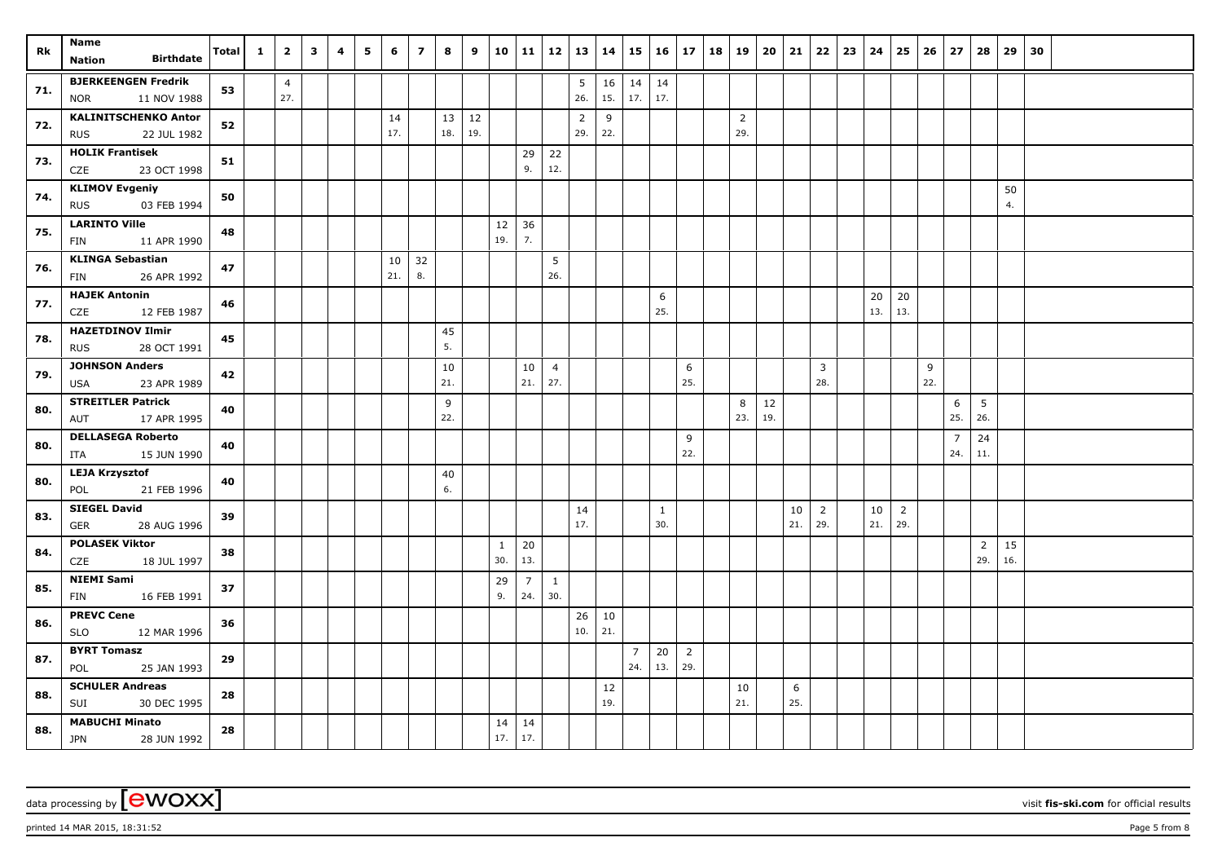| Rk  | Name<br><b>Birthdate</b>                                 | <b>Total</b> | $\mathbf{1}$ | $\overline{2}$ | $\overline{\mathbf{3}}$ | 4 | 5 | 6         | $\overline{7}$ | 8         | 9         | 10           | 11 12                 |                       | $13 \mid 14$          |           |                | $15 \mid 16 \mid 17$ |                | 18 19 |                       | 20  | 21  | 22                    | 23 | 24     | 25             | 26       | 27             | 28             | 29  | 30 |  |  |
|-----|----------------------------------------------------------|--------------|--------------|----------------|-------------------------|---|---|-----------|----------------|-----------|-----------|--------------|-----------------------|-----------------------|-----------------------|-----------|----------------|----------------------|----------------|-------|-----------------------|-----|-----|-----------------------|----|--------|----------------|----------|----------------|----------------|-----|----|--|--|
|     | <b>Nation</b>                                            |              |              |                |                         |   |   |           |                |           |           |              |                       |                       |                       |           |                |                      |                |       |                       |     |     |                       |    |        |                |          |                |                |     |    |  |  |
| 71. | <b>BJERKEENGEN Fredrik</b>                               | 53           |              | $\overline{4}$ |                         |   |   |           |                |           |           |              |                       |                       | 5                     | 16        | $14 \mid 14$   |                      |                |       |                       |     |     |                       |    |        |                |          |                |                |     |    |  |  |
|     | 11 NOV 1988<br><b>NOR</b>                                |              |              | 27.            |                         |   |   |           |                |           |           |              |                       |                       | 26.                   | 15.       | 17.            | 17.                  |                |       |                       |     |     |                       |    |        |                |          |                |                |     |    |  |  |
| 72. | <b>KALINITSCHENKO Anton</b><br>22 JUL 1982<br><b>RUS</b> | 52           |              |                |                         |   |   | 14<br>17. |                | 13<br>18. | 12<br>19. |              |                       |                       | $\overline{2}$<br>29. | 9<br>22.  |                |                      |                |       | $\overline{2}$<br>29. |     |     |                       |    |        |                |          |                |                |     |    |  |  |
|     | <b>HOLIK Frantisek</b>                                   |              |              |                |                         |   |   |           |                |           |           |              |                       |                       |                       |           |                |                      |                |       |                       |     |     |                       |    |        |                |          |                |                |     |    |  |  |
| 73. | CZE<br>23 OCT 1998                                       | 51           |              |                |                         |   |   |           |                |           |           |              | 29<br>9.              | 22<br>12.             |                       |           |                |                      |                |       |                       |     |     |                       |    |        |                |          |                |                |     |    |  |  |
|     | <b>KLIMOV Evgeniy</b>                                    |              |              |                |                         |   |   |           |                |           |           |              |                       |                       |                       |           |                |                      |                |       |                       |     |     |                       |    |        |                |          |                |                | 50  |    |  |  |
| 74. | 03 FEB 1994<br><b>RUS</b>                                | 50           |              |                |                         |   |   |           |                |           |           |              |                       |                       |                       |           |                |                      |                |       |                       |     |     |                       |    |        |                |          |                |                | 4.  |    |  |  |
| 75. | <b>LARINTO Ville</b>                                     | 48           |              |                |                         |   |   |           |                |           |           | 12           | 36                    |                       |                       |           |                |                      |                |       |                       |     |     |                       |    |        |                |          |                |                |     |    |  |  |
|     | 11 APR 1990<br>FIN                                       |              |              |                |                         |   |   |           |                |           |           | 19.          | 7.                    |                       |                       |           |                |                      |                |       |                       |     |     |                       |    |        |                |          |                |                |     |    |  |  |
| 76. | <b>KLINGA Sebastian</b>                                  | 47           |              |                |                         |   |   | 10        | 32             |           |           |              |                       | 5                     |                       |           |                |                      |                |       |                       |     |     |                       |    |        |                |          |                |                |     |    |  |  |
|     | 26 APR 1992<br>FIN                                       |              |              |                |                         |   |   | 21.       | 8.             |           |           |              |                       | 26.                   |                       |           |                |                      |                |       |                       |     |     |                       |    |        |                |          |                |                |     |    |  |  |
| 77. | <b>HAJEK Antonin</b>                                     | 46           |              |                |                         |   |   |           |                |           |           |              |                       |                       |                       |           |                | 6                    |                |       |                       |     |     |                       |    | $20\,$ | 20             |          |                |                |     |    |  |  |
|     | 12 FEB 1987<br><b>CZE</b>                                |              |              |                |                         |   |   |           |                |           |           |              |                       |                       |                       |           |                | 25.                  |                |       |                       |     |     |                       |    | 13.    | 13.            |          |                |                |     |    |  |  |
| 78. | <b>HAZETDINOV Ilmir</b>                                  | 45           |              |                |                         |   |   |           |                | 45<br>5.  |           |              |                       |                       |                       |           |                |                      |                |       |                       |     |     |                       |    |        |                |          |                |                |     |    |  |  |
|     | <b>RUS</b><br>28 OCT 1991<br><b>JOHNSON Anders</b>       |              |              |                |                         |   |   |           |                |           |           |              |                       |                       |                       |           |                |                      |                |       |                       |     |     |                       |    |        |                |          |                |                |     |    |  |  |
| 79. | 23 APR 1989<br><b>USA</b>                                | 42           |              |                |                         |   |   |           |                | 10<br>21. |           |              | 10<br>21.             | $\overline{4}$<br>27. |                       |           |                |                      | 6<br>25.       |       |                       |     |     | $\overline{3}$<br>28. |    |        |                | 9<br>22. |                |                |     |    |  |  |
|     | <b>STREITLER Patrick</b>                                 |              |              |                |                         |   |   |           |                | 9         |           |              |                       |                       |                       |           |                |                      |                |       | 8                     | 12  |     |                       |    |        |                |          | 6              | 5              |     |    |  |  |
| 80. | 17 APR 1995<br>AUT                                       | 40           |              |                |                         |   |   |           |                | 22.       |           |              |                       |                       |                       |           |                |                      |                |       | 23.                   | 19. |     |                       |    |        |                |          | 25.            | 26.            |     |    |  |  |
|     | <b>DELLASEGA Roberto</b>                                 |              |              |                |                         |   |   |           |                |           |           |              |                       |                       |                       |           |                |                      | 9              |       |                       |     |     |                       |    |        |                |          | $\overline{7}$ | 24             |     |    |  |  |
| 80. | ITA<br>15 JUN 1990                                       | 40           |              |                |                         |   |   |           |                |           |           |              |                       |                       |                       |           |                |                      | 22.            |       |                       |     |     |                       |    |        |                |          | 24.            | 11.            |     |    |  |  |
| 80. | <b>LEJA Krzysztof</b>                                    | 40           |              |                |                         |   |   |           |                | 40        |           |              |                       |                       |                       |           |                |                      |                |       |                       |     |     |                       |    |        |                |          |                |                |     |    |  |  |
|     | POL<br>21 FEB 1996                                       |              |              |                |                         |   |   |           |                | 6.        |           |              |                       |                       |                       |           |                |                      |                |       |                       |     |     |                       |    |        |                |          |                |                |     |    |  |  |
| 83. | <b>SIEGEL David</b>                                      | 39           |              |                |                         |   |   |           |                |           |           |              |                       |                       | 14                    |           |                | $\mathbf{1}$         |                |       |                       |     | 10  | $\overline{2}$        |    | 10     | $\overline{2}$ |          |                |                |     |    |  |  |
|     | 28 AUG 1996<br><b>GER</b>                                |              |              |                |                         |   |   |           |                |           |           |              |                       |                       | 17.                   |           |                | 30.                  |                |       |                       |     | 21. | 29.                   |    | 21.    | 29.            |          |                |                |     |    |  |  |
| 84. | <b>POLASEK Viktor</b>                                    | 38           |              |                |                         |   |   |           |                |           |           | $\mathbf{1}$ | 20                    |                       |                       |           |                |                      |                |       |                       |     |     |                       |    |        |                |          |                | $\overline{2}$ | 15  |    |  |  |
|     | 18 JUL 1997<br>CZE                                       |              |              |                |                         |   |   |           |                |           |           | 30.          | 13.                   |                       |                       |           |                |                      |                |       |                       |     |     |                       |    |        |                |          |                | 29.            | 16. |    |  |  |
| 85. | <b>NIEMI Sami</b><br>16 FEB 1991                         | 37           |              |                |                         |   |   |           |                |           |           | 29<br>9.     | $\overline{7}$<br>24. | $\mathbf{1}$<br>30.   |                       |           |                |                      |                |       |                       |     |     |                       |    |        |                |          |                |                |     |    |  |  |
|     | FIN                                                      |              |              |                |                         |   |   |           |                |           |           |              |                       |                       |                       |           |                |                      |                |       |                       |     |     |                       |    |        |                |          |                |                |     |    |  |  |
| 86. | <b>PREVC Cene</b><br><b>SLO</b><br>12 MAR 1996           | 36           |              |                |                         |   |   |           |                |           |           |              |                       |                       | 26<br>10.             | 10<br>21. |                |                      |                |       |                       |     |     |                       |    |        |                |          |                |                |     |    |  |  |
|     | <b>BYRT Tomasz</b>                                       |              |              |                |                         |   |   |           |                |           |           |              |                       |                       |                       |           | $\overline{7}$ | 20                   | $\overline{2}$ |       |                       |     |     |                       |    |        |                |          |                |                |     |    |  |  |
| 87. | 25 JAN 1993<br>POL                                       | 29           |              |                |                         |   |   |           |                |           |           |              |                       |                       |                       |           | 24.            | 13.                  | 29.            |       |                       |     |     |                       |    |        |                |          |                |                |     |    |  |  |
|     | <b>SCHULER Andreas</b>                                   |              |              |                |                         |   |   |           |                |           |           |              |                       |                       |                       | 12        |                |                      |                |       | 10                    |     | 6   |                       |    |        |                |          |                |                |     |    |  |  |
| 88. | SUI<br>30 DEC 1995                                       | 28           |              |                |                         |   |   |           |                |           |           |              |                       |                       |                       | 19.       |                |                      |                |       | 21.                   |     | 25. |                       |    |        |                |          |                |                |     |    |  |  |
|     | <b>MABUCHI Minato</b>                                    |              |              |                |                         |   |   |           |                |           |           | 14           | 14                    |                       |                       |           |                |                      |                |       |                       |     |     |                       |    |        |                |          |                |                |     |    |  |  |
| 88. | <b>JPN</b><br>28 JUN 1992                                | 28           |              |                |                         |   |   |           |                |           |           | 17.          | 17.                   |                       |                       |           |                |                      |                |       |                       |     |     |                       |    |        |                |          |                |                |     |    |  |  |

printed 14 MAR 2015, 18:31:52 Page 5 from 8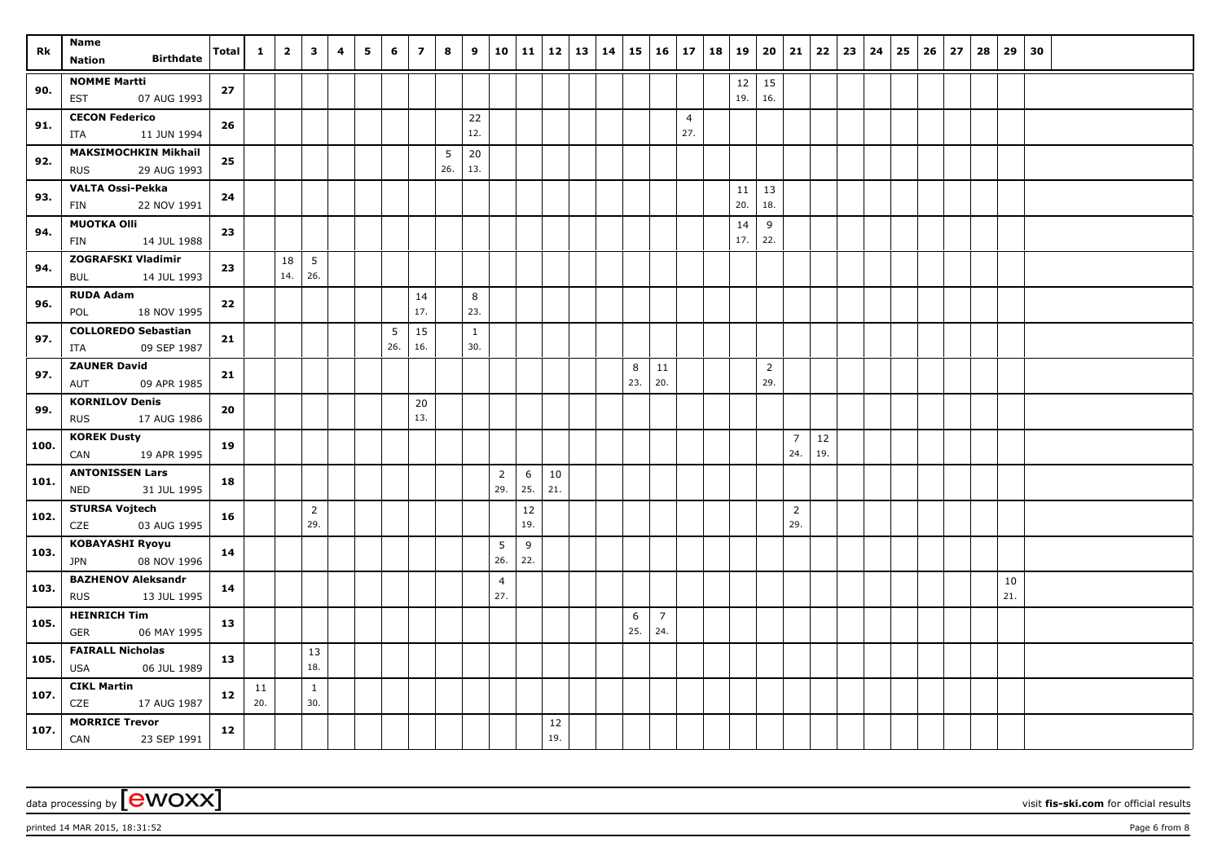| Rk   | Name                                                     | Total | $\mathbf{1}$ | $\overline{2}$ | $\overline{\mathbf{3}}$ | 4 | 5 | 6        | $\overline{7}$ | 8        | 9                   | 10                    | $11 \mid 12$ |           | 13 | 14 15 |          | 16 17                 |                       | 18 19 |             | 20                    | 21                    | $22 \mid 23$ | 24 | 25 | 26 | 27 | 28 | 29        | 30 |  |  |
|------|----------------------------------------------------------|-------|--------------|----------------|-------------------------|---|---|----------|----------------|----------|---------------------|-----------------------|--------------|-----------|----|-------|----------|-----------------------|-----------------------|-------|-------------|-----------------------|-----------------------|--------------|----|----|----|----|----|-----------|----|--|--|
|      | <b>Birthdate</b><br><b>Nation</b>                        |       |              |                |                         |   |   |          |                |          |                     |                       |              |           |    |       |          |                       |                       |       |             |                       |                       |              |    |    |    |    |    |           |    |  |  |
| 90.  | <b>NOMME Martti</b><br>07 AUG 1993<br><b>EST</b>         | 27    |              |                |                         |   |   |          |                |          |                     |                       |              |           |    |       |          |                       |                       |       | $12$<br>19. | 15<br>16.             |                       |              |    |    |    |    |    |           |    |  |  |
| 91.  | <b>CECON Federico</b><br>11 JUN 1994<br>ITA              | 26    |              |                |                         |   |   |          |                |          | 22<br>12.           |                       |              |           |    |       |          |                       | $\overline{4}$<br>27. |       |             |                       |                       |              |    |    |    |    |    |           |    |  |  |
| 92.  | <b>MAKSIMOCHKIN Mikhail</b><br><b>RUS</b><br>29 AUG 1993 | 25    |              |                |                         |   |   |          |                | 5<br>26. | 20<br>13.           |                       |              |           |    |       |          |                       |                       |       |             |                       |                       |              |    |    |    |    |    |           |    |  |  |
| 93.  | <b>VALTA Ossi-Pekka</b><br><b>FIN</b><br>22 NOV 1991     | 24    |              |                |                         |   |   |          |                |          |                     |                       |              |           |    |       |          |                       |                       |       | 11<br>20.   | 13<br>18.             |                       |              |    |    |    |    |    |           |    |  |  |
| 94.  | <b>MUOTKA Olli</b><br><b>FIN</b><br>14 JUL 1988          | 23    |              |                |                         |   |   |          |                |          |                     |                       |              |           |    |       |          |                       |                       |       | 14<br>17.   | 9<br>22.              |                       |              |    |    |    |    |    |           |    |  |  |
| 94.  | <b>ZOGRAFSKI Vladimir</b><br>14 JUL 1993<br><b>BUL</b>   | 23    |              | 18<br>14.      | $5\overline{5}$<br>26.  |   |   |          |                |          |                     |                       |              |           |    |       |          |                       |                       |       |             |                       |                       |              |    |    |    |    |    |           |    |  |  |
| 96.  | <b>RUDA Adam</b><br>18 NOV 1995<br>POL                   | 22    |              |                |                         |   |   |          | 14<br>17.      |          | 8<br>23.            |                       |              |           |    |       |          |                       |                       |       |             |                       |                       |              |    |    |    |    |    |           |    |  |  |
| 97.  | <b>COLLOREDO Sebastian</b><br>09 SEP 1987<br>ITA         | 21    |              |                |                         |   |   | 5<br>26. | 15<br>16.      |          | $\mathbf{1}$<br>30. |                       |              |           |    |       |          |                       |                       |       |             |                       |                       |              |    |    |    |    |    |           |    |  |  |
| 97.  | <b>ZAUNER David</b><br>AUT<br>09 APR 1985                | 21    |              |                |                         |   |   |          |                |          |                     |                       |              |           |    |       | 8<br>23. | 11<br>20.             |                       |       |             | $\overline{2}$<br>29. |                       |              |    |    |    |    |    |           |    |  |  |
| 99.  | <b>KORNILOV Denis</b><br><b>RUS</b><br>17 AUG 1986       | 20    |              |                |                         |   |   |          | 20<br>13.      |          |                     |                       |              |           |    |       |          |                       |                       |       |             |                       |                       |              |    |    |    |    |    |           |    |  |  |
| 100. | <b>KOREK Dusty</b><br>CAN<br>19 APR 1995                 | 19    |              |                |                         |   |   |          |                |          |                     |                       |              |           |    |       |          |                       |                       |       |             |                       | $\overline{7}$<br>24. | 12<br>19.    |    |    |    |    |    |           |    |  |  |
| 101. | <b>ANTONISSEN Lars</b><br>31 JUL 1995<br><b>NED</b>      | 18    |              |                |                         |   |   |          |                |          |                     | $\overline{2}$<br>29. | 6<br>25.     | 10<br>21. |    |       |          |                       |                       |       |             |                       |                       |              |    |    |    |    |    |           |    |  |  |
| 102. | <b>STURSA Vojtech</b><br>03 AUG 1995<br>CZE              | 16    |              |                | $\overline{2}$<br>29.   |   |   |          |                |          |                     |                       | 12<br>19.    |           |    |       |          |                       |                       |       |             |                       | $\overline{2}$<br>29. |              |    |    |    |    |    |           |    |  |  |
| 103. | <b>KOBAYASHI Ryoyu</b><br>08 NOV 1996<br><b>JPN</b>      | 14    |              |                |                         |   |   |          |                |          |                     | 5<br>26.              | 9<br>22.     |           |    |       |          |                       |                       |       |             |                       |                       |              |    |    |    |    |    |           |    |  |  |
| 103. | <b>BAZHENOV Aleksandr</b><br>13 JUL 1995<br><b>RUS</b>   | 14    |              |                |                         |   |   |          |                |          |                     | $\overline{4}$<br>27. |              |           |    |       |          |                       |                       |       |             |                       |                       |              |    |    |    |    |    | 10<br>21. |    |  |  |
| 105. | <b>HEINRICH Tim</b><br><b>GER</b><br>06 MAY 1995         | 13    |              |                |                         |   |   |          |                |          |                     |                       |              |           |    |       | 6<br>25. | $\overline{7}$<br>24. |                       |       |             |                       |                       |              |    |    |    |    |    |           |    |  |  |
| 105. | <b>FAIRALL Nicholas</b><br><b>USA</b><br>06 JUL 1989     | 13    |              |                | 13<br>18.               |   |   |          |                |          |                     |                       |              |           |    |       |          |                       |                       |       |             |                       |                       |              |    |    |    |    |    |           |    |  |  |
| 107. | <b>CIKL Martin</b><br>CZE<br>17 AUG 1987                 | 12    | 11<br>20.    |                | $\mathbf{1}$<br>30.     |   |   |          |                |          |                     |                       |              |           |    |       |          |                       |                       |       |             |                       |                       |              |    |    |    |    |    |           |    |  |  |
| 107. | <b>MORRICE Trevor</b><br>CAN<br>23 SEP 1991              | 12    |              |                |                         |   |   |          |                |          |                     |                       |              | 12<br>19. |    |       |          |                       |                       |       |             |                       |                       |              |    |    |    |    |    |           |    |  |  |

printed 14 MAR 2015, 18:31:52 Page 6 from 8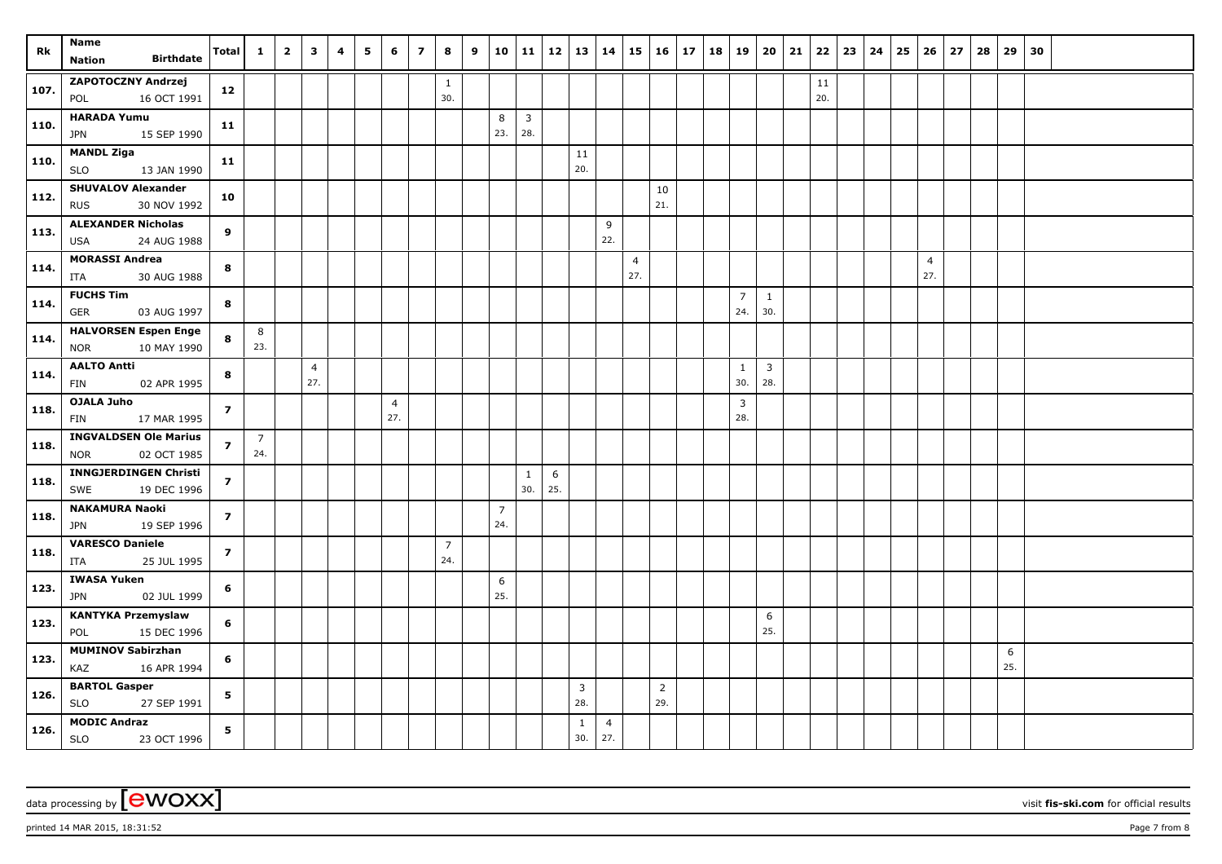| Rk   | Name<br><b>Birthdate</b><br><b>Nation</b>                 | <b>Total</b>   | $\mathbf{1}$          | $\overline{\mathbf{2}}$ | $\mathbf{3}$          | 4 | 5 | 6                     | $\overline{z}$ | 8                     | 9 | 10                    | 11                  | 12       | 13                    | 14                    | $15 \mid 16$          |                       | 17 | 18 | $ 19\rangle$                   | 20                    | 21 | 22        | 23 | 24 | 25 | 26                    | 27 | 28 | 29       | 30 |  |  |
|------|-----------------------------------------------------------|----------------|-----------------------|-------------------------|-----------------------|---|---|-----------------------|----------------|-----------------------|---|-----------------------|---------------------|----------|-----------------------|-----------------------|-----------------------|-----------------------|----|----|--------------------------------|-----------------------|----|-----------|----|----|----|-----------------------|----|----|----------|----|--|--|
| 107. | <b>ZAPOTOCZNY Andrzej</b><br>16 OCT 1991<br>POL           | 12             |                       |                         |                       |   |   |                       |                | $\mathbf{1}$<br>30.   |   |                       |                     |          |                       |                       |                       |                       |    |    |                                |                       |    | 11<br>20. |    |    |    |                       |    |    |          |    |  |  |
| 110. | <b>HARADA Yumu</b><br><b>JPN</b><br>15 SEP 1990           | 11             |                       |                         |                       |   |   |                       |                |                       |   | 8<br>23.              | $\mathbf{3}$<br>28. |          |                       |                       |                       |                       |    |    |                                |                       |    |           |    |    |    |                       |    |    |          |    |  |  |
| 110. | <b>MANDL Ziga</b><br>13 JAN 1990<br><b>SLO</b>            | 11             |                       |                         |                       |   |   |                       |                |                       |   |                       |                     |          | 11<br>20.             |                       |                       |                       |    |    |                                |                       |    |           |    |    |    |                       |    |    |          |    |  |  |
| 112. | <b>SHUVALOV Alexander</b><br><b>RUS</b><br>30 NOV 1992    | 10             |                       |                         |                       |   |   |                       |                |                       |   |                       |                     |          |                       |                       |                       | 10<br>21.             |    |    |                                |                       |    |           |    |    |    |                       |    |    |          |    |  |  |
| 113. | <b>ALEXANDER Nicholas</b><br>24 AUG 1988<br><b>USA</b>    | 9              |                       |                         |                       |   |   |                       |                |                       |   |                       |                     |          |                       | 9<br>22.              |                       |                       |    |    |                                |                       |    |           |    |    |    |                       |    |    |          |    |  |  |
| 114. | <b>MORASSI Andrea</b><br>30 AUG 1988<br>ITA               | 8              |                       |                         |                       |   |   |                       |                |                       |   |                       |                     |          |                       |                       | $\overline{4}$<br>27. |                       |    |    |                                |                       |    |           |    |    |    | $\overline{4}$<br>27. |    |    |          |    |  |  |
| 114. | <b>FUCHS Tim</b><br>03 AUG 1997<br><b>GER</b>             | 8              |                       |                         |                       |   |   |                       |                |                       |   |                       |                     |          |                       |                       |                       |                       |    |    | $\overline{7}$<br>24.          | $\mathbf{1}$<br>30.   |    |           |    |    |    |                       |    |    |          |    |  |  |
| 114. | <b>HALVORSEN Espen Enge</b><br>10 MAY 1990<br><b>NOR</b>  | 8              | 8<br>23.              |                         |                       |   |   |                       |                |                       |   |                       |                     |          |                       |                       |                       |                       |    |    |                                |                       |    |           |    |    |    |                       |    |    |          |    |  |  |
| 114. | <b>AALTO Antti</b><br>02 APR 1995<br><b>FIN</b>           | 8              |                       |                         | $\overline{4}$<br>27. |   |   |                       |                |                       |   |                       |                     |          |                       |                       |                       |                       |    |    | 1<br>30.                       | $\overline{3}$<br>28. |    |           |    |    |    |                       |    |    |          |    |  |  |
| 118. | OJALA Juho<br>FIN<br>17 MAR 1995                          | $\overline{z}$ |                       |                         |                       |   |   | $\overline{4}$<br>27. |                |                       |   |                       |                     |          |                       |                       |                       |                       |    |    | $\overline{\mathbf{3}}$<br>28. |                       |    |           |    |    |    |                       |    |    |          |    |  |  |
| 118. | <b>INGVALDSEN Ole Marius</b><br>02 OCT 1985<br><b>NOR</b> | $\overline{z}$ | $\overline{7}$<br>24. |                         |                       |   |   |                       |                |                       |   |                       |                     |          |                       |                       |                       |                       |    |    |                                |                       |    |           |    |    |    |                       |    |    |          |    |  |  |
| 118. | <b>INNGJERDINGEN Christi</b><br>SWE<br>19 DEC 1996        | $\overline{z}$ |                       |                         |                       |   |   |                       |                |                       |   |                       | $\mathbf{1}$<br>30. | 6<br>25. |                       |                       |                       |                       |    |    |                                |                       |    |           |    |    |    |                       |    |    |          |    |  |  |
| 118. | <b>NAKAMURA Naoki</b><br><b>JPN</b><br>19 SEP 1996        | $\overline{z}$ |                       |                         |                       |   |   |                       |                |                       |   | $\overline{7}$<br>24. |                     |          |                       |                       |                       |                       |    |    |                                |                       |    |           |    |    |    |                       |    |    |          |    |  |  |
| 118. | <b>VARESCO Daniele</b><br>ITA<br>25 JUL 1995              | $\overline{z}$ |                       |                         |                       |   |   |                       |                | $\overline{7}$<br>24. |   |                       |                     |          |                       |                       |                       |                       |    |    |                                |                       |    |           |    |    |    |                       |    |    |          |    |  |  |
| 123. | <b>IWASA Yuken</b><br>02 JUL 1999<br><b>JPN</b>           | 6              |                       |                         |                       |   |   |                       |                |                       |   | 6<br>25.              |                     |          |                       |                       |                       |                       |    |    |                                |                       |    |           |    |    |    |                       |    |    |          |    |  |  |
| 123. | <b>KANTYKA Przemyslaw</b><br>15 DEC 1996<br>POL           | 6              |                       |                         |                       |   |   |                       |                |                       |   |                       |                     |          |                       |                       |                       |                       |    |    |                                | 6<br>25.              |    |           |    |    |    |                       |    |    |          |    |  |  |
| 123. | <b>MUMINOV Sabirzhan</b><br>16 APR 1994<br>KAZ            | 6              |                       |                         |                       |   |   |                       |                |                       |   |                       |                     |          |                       |                       |                       |                       |    |    |                                |                       |    |           |    |    |    |                       |    |    | 6<br>25. |    |  |  |
| 126. | <b>BARTOL Gasper</b><br><b>SLO</b><br>27 SEP 1991         | 5              |                       |                         |                       |   |   |                       |                |                       |   |                       |                     |          | $\overline{3}$<br>28. |                       |                       | $\overline{2}$<br>29. |    |    |                                |                       |    |           |    |    |    |                       |    |    |          |    |  |  |
| 126. | <b>MODIC Andraz</b><br>SLO<br>23 OCT 1996                 | 5              |                       |                         |                       |   |   |                       |                |                       |   |                       |                     |          | 1<br>30.              | $\overline{4}$<br>27. |                       |                       |    |    |                                |                       |    |           |    |    |    |                       |    |    |          |    |  |  |

printed 14 MAR 2015, 18:31:52 **Page 7** from 8